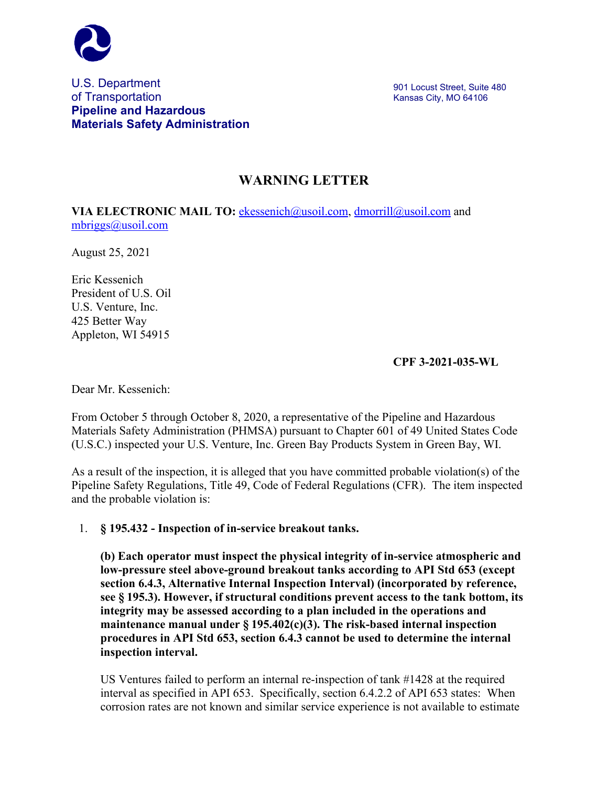

## U.S. Department of Transportation **Pipeline and Hazardous Materials Safety Administration**

## **WARNING LETTER**

**VIA ELECTRONIC MAIL TO:** [ekessenich@usoil.com,](mailto:ekessenich@usoil.com) [dmorrill@usoil.com](mailto:dmorrill@usoil.com) and [mbriggs@usoil.com](mailto:mbriggs@usoil.com)

August 25, 2021

Eric Kessenich President of U.S. Oil U.S. Venture, Inc. 425 Better Way Appleton, WI 54915

**CPF 3-2021-035-WL**

Dear Mr. Kessenich:

From October 5 through October 8, 2020, a representative of the Pipeline and Hazardous Materials Safety Administration (PHMSA) pursuant to Chapter 601 of 49 United States Code (U.S.C.) inspected your U.S. Venture, Inc. Green Bay Products System in Green Bay, WI.

As a result of the inspection, it is alleged that you have committed probable violation(s) of the Pipeline Safety Regulations, Title 49, Code of Federal Regulations (CFR). The item inspected and the probable violation is:

1. **§ 195.432 - Inspection of in-service breakout tanks.**

**(b) Each operator must inspect the physical integrity of in-service atmospheric and low-pressure steel above-ground breakout tanks according to API Std 653 (except section 6.4.3, Alternative Internal Inspection Interval) (incorporated by reference, see § 195.3). However, if structural conditions prevent access to the tank bottom, its integrity may be assessed according to a plan included in the operations and maintenance manual under § 195.402(c)(3). The risk-based internal inspection procedures in API Std 653, section 6.4.3 cannot be used to determine the internal inspection interval.**

US Ventures failed to perform an internal re-inspection of tank #1428 at the required interval as specified in API 653. Specifically, section 6.4.2.2 of API 653 states: When corrosion rates are not known and similar service experience is not available to estimate